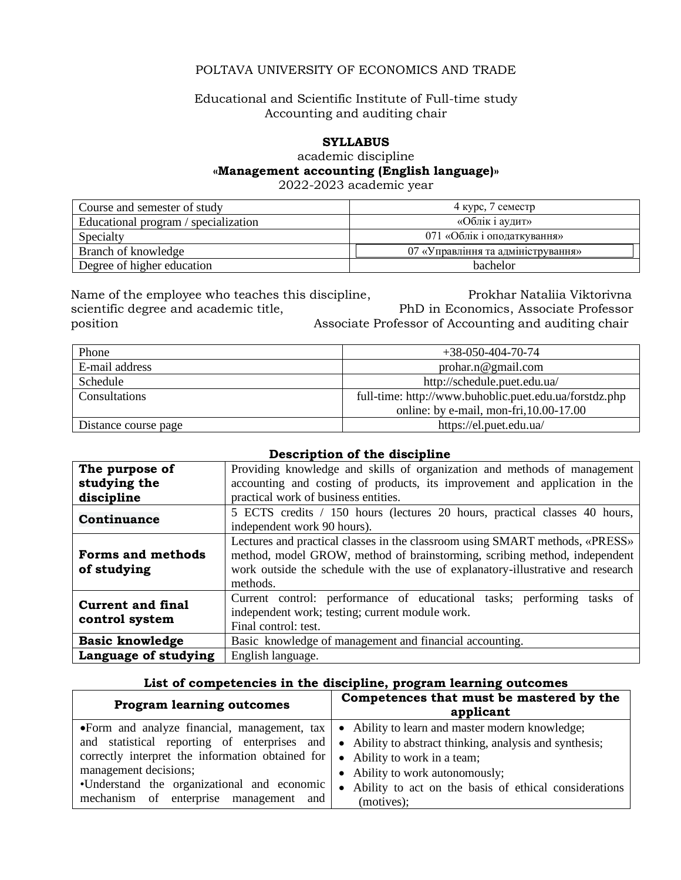# POLTAVA UNIVERSITY OF ECONOMICS AND TRADE

## Educational and Scientific Institute of Full-time study Accounting and auditing chair

# **SYLLABUS**

academic discipline

#### **«Management accounting (English language)»**

2022-2023 academic year

| Course and semester of study         | 4 курс, 7 семестр                  |
|--------------------------------------|------------------------------------|
| Educational program / specialization | «Облік і аудит»                    |
| Specialty                            | 071 «Облік і оподаткування»        |
| Branch of knowledge                  | 07 «Управління та адміністрування» |
| Degree of higher education           | <b>bachelor</b>                    |

Name of the employee who teaches this discipline, **Prokhar Nataliia Viktorivna** scientific degree and academic title, PhD in Economics, Associate Professor position Associate Professor of Accounting and auditing chair

| Phone                | $+38-050-404-70-74$                                    |
|----------------------|--------------------------------------------------------|
| E-mail address       | probar.n@gmail.com                                     |
| Schedule             | http://schedule.puet.edu.ua/                           |
| Consultations        | full-time: http://www.buhoblic.puet.edu.ua/forstdz.php |
|                      | online: by e-mail, mon-fri, $10.00 - 17.00$            |
| Distance course page | https://el.puet.edu.ua/                                |

### **Description of the discipline**

| The purpose of           | Providing knowledge and skills of organization and methods of management        |  |
|--------------------------|---------------------------------------------------------------------------------|--|
| studying the             | accounting and costing of products, its improvement and application in the      |  |
| discipline               | practical work of business entities.                                            |  |
| Continuance              | 5 ECTS credits / 150 hours (lectures 20 hours, practical classes 40 hours,      |  |
|                          | independent work 90 hours).                                                     |  |
|                          | Lectures and practical classes in the classroom using SMART methods, «PRESS»    |  |
| <b>Forms and methods</b> | method, model GROW, method of brainstorming, scribing method, independent       |  |
| of studying              | work outside the schedule with the use of explanatory-illustrative and research |  |
|                          | methods.                                                                        |  |
| <b>Current and final</b> | Current control: performance of educational tasks; performing tasks of          |  |
|                          | independent work; testing; current module work.                                 |  |
| control system           | Final control: test.                                                            |  |
| <b>Basic knowledge</b>   | Basic knowledge of management and financial accounting.                         |  |
| Language of studying     | English language.                                                               |  |

### **List of competencies in the discipline, program learning outcomes**

| <b>Program learning outcomes</b>                                                                  | Competences that must be mastered by the<br>applicant                                                            |
|---------------------------------------------------------------------------------------------------|------------------------------------------------------------------------------------------------------------------|
|                                                                                                   | •Form and analyze financial, management, $\text{tax} \mid \bullet$ Ability to learn and master modern knowledge; |
|                                                                                                   | and statistical reporting of enterprises and $\bullet$ Ability to abstract thinking, analysis and synthesis;     |
| correctly interpret the information obtained for $\vert \bullet \vert$ Ability to work in a team; |                                                                                                                  |
| management decisions;                                                                             | • Ability to work autonomously;                                                                                  |
| •Understand the organizational and economic                                                       | • Ability to act on the basis of ethical considerations                                                          |
| mechanism of enterprise management and                                                            | (motives);                                                                                                       |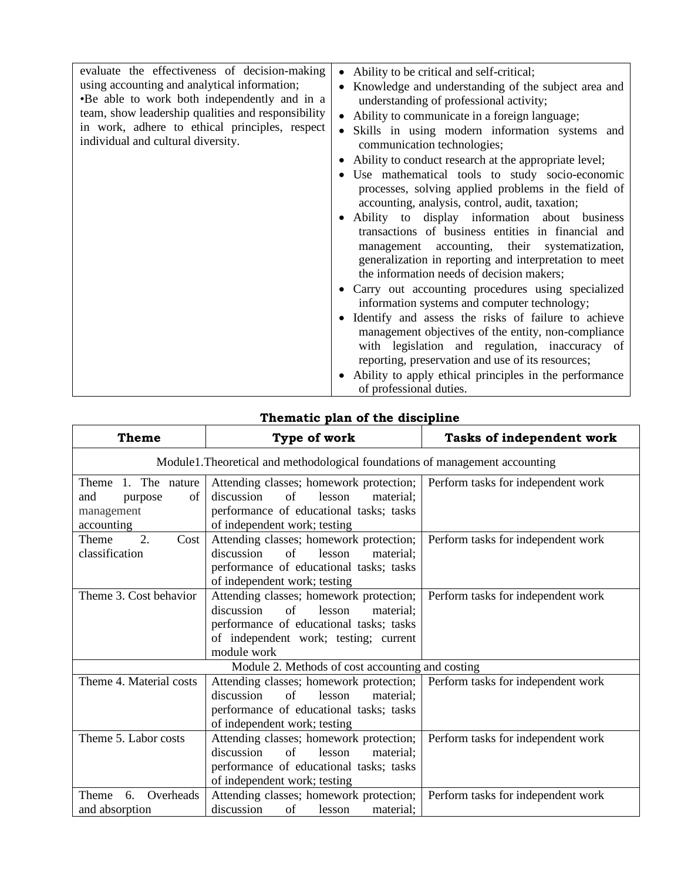| evaluate the effectiveness of decision-making                                                | Ability to be critical and self-critical;<br>$\bullet$                                                                                                                                                                                                        |
|----------------------------------------------------------------------------------------------|---------------------------------------------------------------------------------------------------------------------------------------------------------------------------------------------------------------------------------------------------------------|
| using accounting and analytical information;<br>•Be able to work both independently and in a | Knowledge and understanding of the subject area and<br>understanding of professional activity;                                                                                                                                                                |
| team, show leadership qualities and responsibility                                           | Ability to communicate in a foreign language;                                                                                                                                                                                                                 |
| in work, adhere to ethical principles, respect<br>individual and cultural diversity.         | Skills in using modern information systems and<br>communication technologies;                                                                                                                                                                                 |
|                                                                                              | Ability to conduct research at the appropriate level;                                                                                                                                                                                                         |
|                                                                                              | • Use mathematical tools to study socio-economic<br>processes, solving applied problems in the field of<br>accounting, analysis, control, audit, taxation;                                                                                                    |
|                                                                                              | • Ability to display information about business<br>transactions of business entities in financial and<br>management accounting, their systematization,<br>generalization in reporting and interpretation to meet<br>the information needs of decision makers; |
|                                                                                              | Carry out accounting procedures using specialized<br>information systems and computer technology;                                                                                                                                                             |
|                                                                                              | Identify and assess the risks of failure to achieve<br>$\bullet$<br>management objectives of the entity, non-compliance<br>with legislation and regulation, inaccuracy of<br>reporting, preservation and use of its resources;                                |
|                                                                                              | Ability to apply ethical principles in the performance<br>of professional duties.                                                                                                                                                                             |

# **Thematic plan of the discipline**

| Theme                                                                      | Type of work                                                                                                                                                                                | Tasks of independent work          |  |
|----------------------------------------------------------------------------|---------------------------------------------------------------------------------------------------------------------------------------------------------------------------------------------|------------------------------------|--|
|                                                                            | Module1. Theoretical and methodological foundations of management accounting                                                                                                                |                                    |  |
| Theme<br>1. The nature<br>and<br>of<br>purpose<br>management<br>accounting | Attending classes; homework protection;<br>discussion<br>of<br>lesson<br>material;<br>performance of educational tasks; tasks<br>of independent work; testing                               | Perform tasks for independent work |  |
| 2.<br>Theme<br>Cost<br>classification                                      | Attending classes; homework protection;<br>$\sigma$ f<br>discussion<br>lesson<br>material:<br>performance of educational tasks; tasks<br>of independent work; testing                       | Perform tasks for independent work |  |
| Theme 3. Cost behavior                                                     | Attending classes; homework protection;<br>discussion<br>$\sigma$<br>lesson<br>material;<br>performance of educational tasks; tasks<br>of independent work; testing; current<br>module work | Perform tasks for independent work |  |
| Module 2. Methods of cost accounting and costing                           |                                                                                                                                                                                             |                                    |  |
| Theme 4. Material costs                                                    | Attending classes; homework protection;<br>discussion<br>of<br>lesson<br>material;<br>performance of educational tasks; tasks<br>of independent work; testing                               | Perform tasks for independent work |  |
| Theme 5. Labor costs                                                       | Attending classes; homework protection;<br>discussion<br>$\sigma$<br>lesson<br>material:<br>performance of educational tasks; tasks<br>of independent work; testing                         | Perform tasks for independent work |  |
| Overheads<br>Theme<br>6.<br>and absorption                                 | Attending classes; homework protection;<br>discussion<br>of<br>lesson<br>material:                                                                                                          | Perform tasks for independent work |  |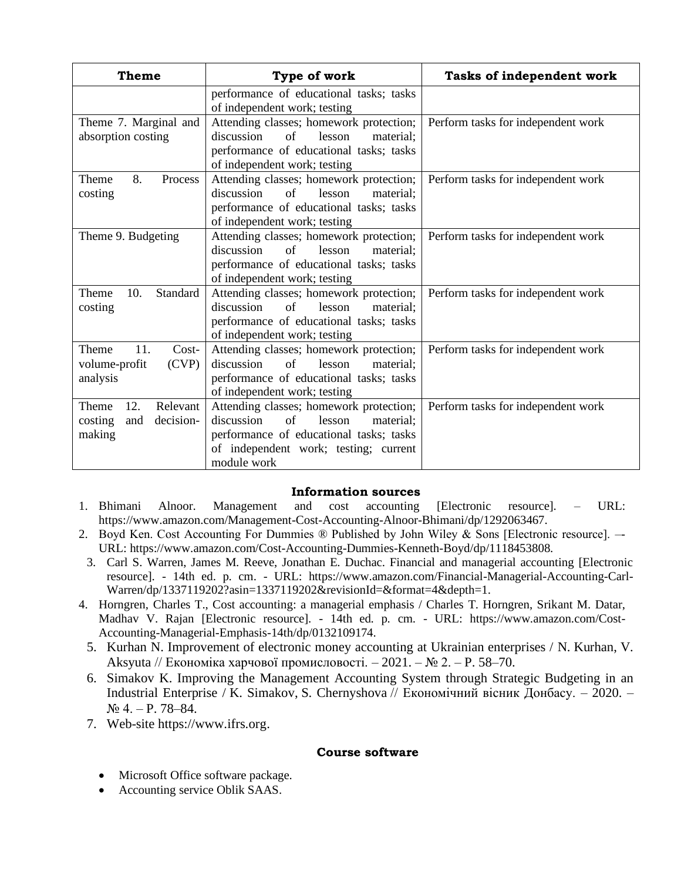| Theme                                                                | Type of work                                                                                                                                                                                  | Tasks of independent work          |
|----------------------------------------------------------------------|-----------------------------------------------------------------------------------------------------------------------------------------------------------------------------------------------|------------------------------------|
|                                                                      | performance of educational tasks; tasks<br>of independent work; testing                                                                                                                       |                                    |
| Theme 7. Marginal and<br>absorption costing                          | Attending classes; homework protection;<br>discussion<br>of<br>lesson<br>material:<br>performance of educational tasks; tasks<br>of independent work; testing                                 | Perform tasks for independent work |
| 8.<br><b>Theme</b><br><b>Process</b><br>costing                      | Attending classes; homework protection;<br>of<br>discussion<br>lesson<br>material;<br>performance of educational tasks; tasks<br>of independent work; testing                                 | Perform tasks for independent work |
| Theme 9. Budgeting                                                   | Attending classes; homework protection;<br>of<br>discussion<br>lesson<br>material;<br>performance of educational tasks; tasks<br>of independent work; testing                                 | Perform tasks for independent work |
| 10.<br><b>Standard</b><br><b>Theme</b><br>costing                    | Attending classes; homework protection;<br>discussion<br>of<br>lesson<br>material:<br>performance of educational tasks; tasks<br>of independent work; testing                                 | Perform tasks for independent work |
| 11.<br><b>Theme</b><br>$Cost-$<br>(CVP)<br>volume-profit<br>analysis | Attending classes; homework protection;<br>discussion<br>$\sigma$ f<br>lesson<br>material;<br>performance of educational tasks; tasks<br>of independent work; testing                         | Perform tasks for independent work |
| Relevant<br>Theme<br>12.<br>costing<br>and<br>decision-<br>making    | Attending classes; homework protection;<br>discussion<br>$\sigma$ f<br>lesson<br>material;<br>performance of educational tasks; tasks<br>of independent work; testing; current<br>module work | Perform tasks for independent work |

### **Information sources**

- 1. Bhimani Alnoor. Management and cost accounting [Electronic resource]. URL: https://www.amazon.com/Management-Cost-Accounting-Alnoor-Bhimani/dp/1292063467.
- 2. Boyd Ken. Cost Accounting For Dummies ® Published by John Wiley & Sons [Electronic resource]. –- URL: [https://www.amazon.com/Cost-Accounting-Dummies-Kenneth-Boyd/dp/1118453808.](https://www.amazon.com/Cost-Accounting-Dummies-Kenneth-Boyd/dp/1118453808)
- 3. Carl S. Warren, James M. Reeve, Jonathan E. Duchac. Financial and managerial accounting [Electronic resource]. - 14th ed. p. cm. - URL: https://www.amazon.com/Financial-Managerial-Accounting-Carl-Warren/dp/1337119202?asin=1337119202&revisionId=&format=4&depth=1.
- 4. Horngren, Charles T., Cost accounting: a managerial emphasis / Charles T. Horngren, Srikant M. Datar, Madhav V. Rajan [Electronic resource]. - 14th ed. p. cm. - URL: https://www.amazon.com/Cost-Accounting-Managerial-Emphasis-14th/dp/0132109174.
	- 5. [Kurhan](http://catalog.puet.edu.ua/opacunicode/index.php?url=/auteurs/view/109509/source:default) N. Improvement of electronic money accounting at Ukrainian enterprises / N. [Kurhan,](http://catalog.puet.edu.ua/opacunicode/index.php?url=/auteurs/view/109509/source:default) [V.](http://catalog.puet.edu.ua/opacunicode/index.php?url=/auteurs/view/109510/source:default)  [Aksyuta](http://catalog.puet.edu.ua/opacunicode/index.php?url=/auteurs/view/109510/source:default) // Економіка харчової промисловості. – 2021. – № 2. – Р. 58–70.
	- 6. [Simakov](http://catalog.puet.edu.ua/opacunicode/index.php?url=/auteurs/view/108963/source:default) K. Improving the Management Accounting System through Strategic Budgeting in an Industrial Enterprise / [K. Simakov,](http://catalog.puet.edu.ua/opacunicode/index.php?url=/auteurs/view/108963/source:default) [S. Chernyshova](http://catalog.puet.edu.ua/opacunicode/index.php?url=/auteurs/view/108964/source:default) // Економічний вісник Донбасу. – 2020. – № 4. – P. 78–84.
	- 7. Web-site [https://www.ifrs.org.](https://www.ifrs.org/)

### **Course software**

- Microsoft Office software package.
- Accounting service Oblik SAAS.